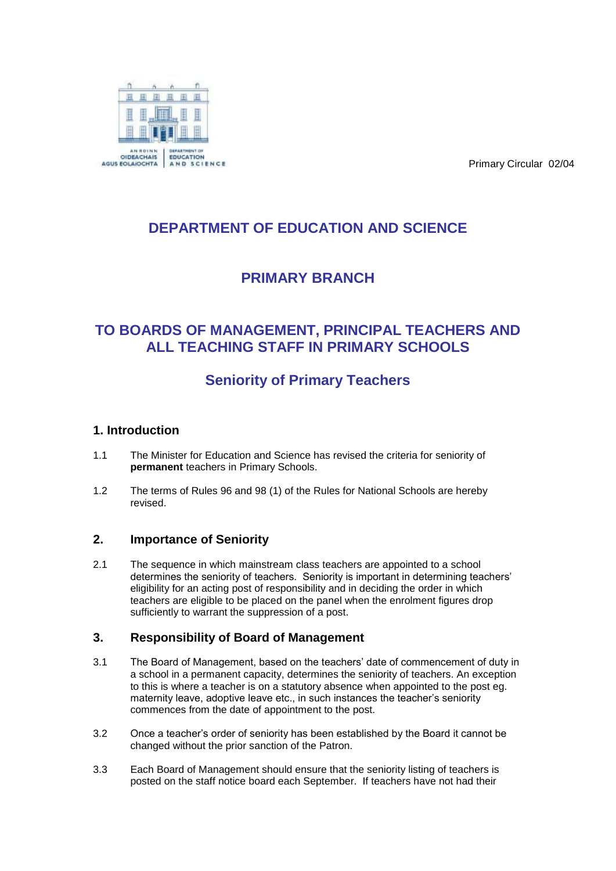Primary Circular 02/04



## **DEPARTMENT OF EDUCATION AND SCIENCE**

## **PRIMARY BRANCH**

### **TO BOARDS OF MANAGEMENT, PRINCIPAL TEACHERS AND ALL TEACHING STAFF IN PRIMARY SCHOOLS**

# **Seniority of Primary Teachers**

### **1. Introduction**

- 1.1 The Minister for Education and Science has revised the criteria for seniority of **permanent** teachers in Primary Schools.
- 1.2 The terms of Rules 96 and 98 (1) of the Rules for National Schools are hereby revised.

#### **2. Importance of Seniority**

2.1 The sequence in which mainstream class teachers are appointed to a school determines the seniority of teachers. Seniority is important in determining teachers' eligibility for an acting post of responsibility and in deciding the order in which teachers are eligible to be placed on the panel when the enrolment figures drop sufficiently to warrant the suppression of a post.

#### **3. Responsibility of Board of Management**

- 3.1 The Board of Management, based on the teachers' date of commencement of duty in a school in a permanent capacity, determines the seniority of teachers. An exception to this is where a teacher is on a statutory absence when appointed to the post eg. maternity leave, adoptive leave etc., in such instances the teacher's seniority commences from the date of appointment to the post.
- 3.2 Once a teacher's order of seniority has been established by the Board it cannot be changed without the prior sanction of the Patron.
- 3.3 Each Board of Management should ensure that the seniority listing of teachers is posted on the staff notice board each September. If teachers have not had their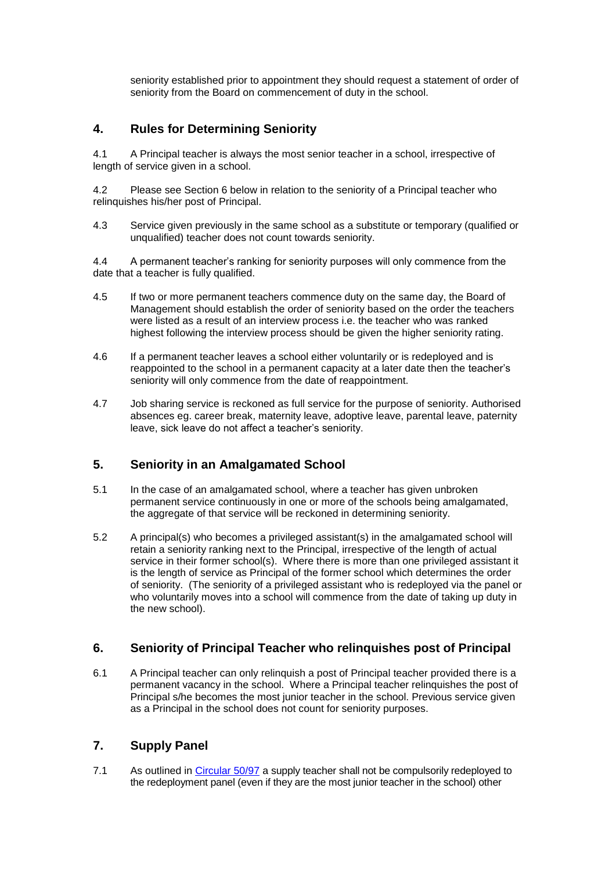seniority established prior to appointment they should request a statement of order of seniority from the Board on commencement of duty in the school.

#### **4. Rules for Determining Seniority**

4.1 A Principal teacher is always the most senior teacher in a school, irrespective of length of service given in a school.

4.2 Please see Section 6 below in relation to the seniority of a Principal teacher who relinquishes his/her post of Principal.

4.3 Service given previously in the same school as a substitute or temporary (qualified or unqualified) teacher does not count towards seniority.

4.4 A permanent teacher's ranking for seniority purposes will only commence from the date that a teacher is fully qualified.

- 4.5 If two or more permanent teachers commence duty on the same day, the Board of Management should establish the order of seniority based on the order the teachers were listed as a result of an interview process i.e. the teacher who was ranked highest following the interview process should be given the higher seniority rating.
- 4.6 If a permanent teacher leaves a school either voluntarily or is redeployed and is reappointed to the school in a permanent capacity at a later date then the teacher's seniority will only commence from the date of reappointment.
- 4.7 Job sharing service is reckoned as full service for the purpose of seniority. Authorised absences eg. career break, maternity leave, adoptive leave, parental leave, paternity leave, sick leave do not affect a teacher's seniority.

#### **5. Seniority in an Amalgamated School**

- 5.1 In the case of an amalgamated school, where a teacher has given unbroken permanent service continuously in one or more of the schools being amalgamated, the aggregate of that service will be reckoned in determining seniority.
- 5.2 A principal(s) who becomes a privileged assistant(s) in the amalgamated school will retain a seniority ranking next to the Principal, irrespective of the length of actual service in their former school(s). Where there is more than one privileged assistant it is the length of service as Principal of the former school which determines the order of seniority. (The seniority of a privileged assistant who is redeployed via the panel or who voluntarily moves into a school will commence from the date of taking up duty in the new school).

#### **6. Seniority of Principal Teacher who relinquishes post of Principal**

6.1 A Principal teacher can only relinquish a post of Principal teacher provided there is a permanent vacancy in the school. Where a Principal teacher relinquishes the post of Principal s/he becomes the most junior teacher in the school. Previous service given as a Principal in the school does not count for seniority purposes.

#### **7. Supply Panel**

7.1 As outlined in [Circular 50/97](http://www.education.ie/en/Circulars-and-Forms/Active-Circulars/cl0050_97.pdf) a supply teacher shall not be compulsorily redeployed to the redeployment panel (even if they are the most junior teacher in the school) other